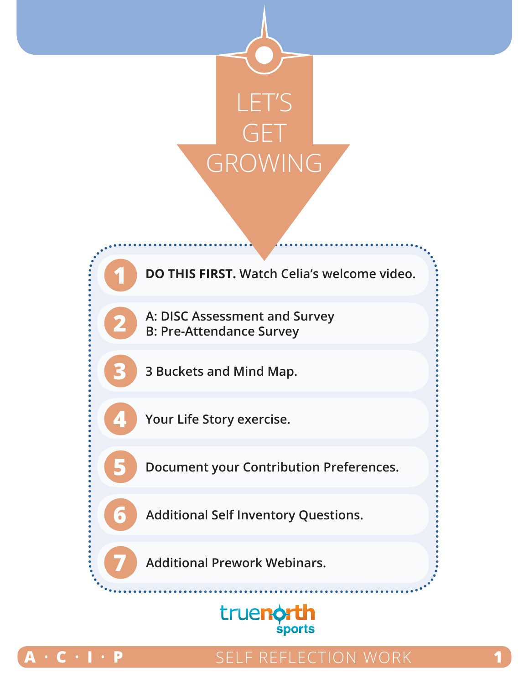

**1 DO THIS FIRST. Watch Celia's welcome video.**

**2 A: DISC Assessment and Survey B: Pre-Attendance Survey**

**3 3 Buckets and Mind Map.**

**4 Your Life Story exercise.**

**5 Document your Contribution Preferences.**

**6 Additional Self Inventory Questions.**

**7 Additional Prework Webinars.**





## $\cdot$  **P**  $\cdot$  **SELF REFLECTION WORK**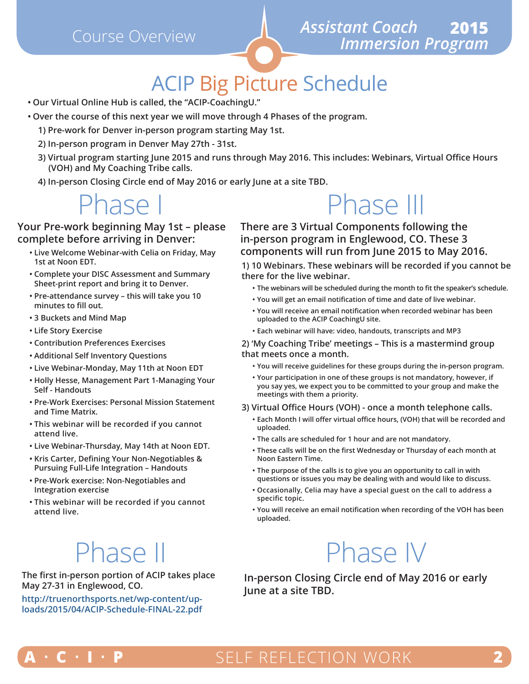

## ACIP Big Picture Schedule

- **• Our Virtual Online Hub is called, the "ACIP-CoachingU."**
- **• Over the course of this next year we will move through 4 Phases of the program.**
	- **1) Pre-work for Denver in-person program starting May 1st.**
	- **2) In-person program in Denver May 27th 31st.**
	- **3) Virtual program starting June 2015 and runs through May 2016. This includes: Webinars, Virtual Office Hours (VOH) and My Coaching Tribe calls.**
	- **4) In-person Closing Circle end of May 2016 or early June at a site TBD.**

## nase

#### **Your Pre-work beginning May 1st – please complete before arriving in Denver:**

- **• Live Welcome Webinar-with Celia on Friday, May 1st at Noon EDT.**
- **• Complete your DISC Assessment and Summary Sheet-print report and bring it to Denver.**
- **• Pre-attendance survey this will take you 10 minutes to fill out.**
- **• 3 Buckets and Mind Map**
- **• Life Story Exercise**
- **• Contribution Preferences Exercises**
- **• Additional Self Inventory Questions**
- **• Live Webinar-Monday, May 11th at Noon EDT**
- **• Holly Hesse, Management Part 1-Managing Your Self - Handouts**
- **• Pre-Work Exercises: Personal Mission Statement and Time Matrix.**
- **• This webinar will be recorded if you cannot attend live.**
- **• Live Webinar-Thursday, May 14th at Noon EDT.**
- **• Kris Carter, Defining Your Non-Negotiables & Pursuing Full-Life Integration – Handouts**
- **• Pre-Work exercise: Non-Negotiables and Integration exercise**
- **• This webinar will be recorded if you cannot attend live.**

# Phase II

**The first in-person portion of ACIP takes place May 27-31 in Englewood, CO.** 

**http://truenorthsports.net/wp-content/uploads/2015/04/ACIP-Schedule-FINAL-22.pdf**

# Phase III

**There are 3 Virtual Components following the in-person program in Englewood, CO. These 3 components will run from June 2015 to May 2016.**

**1) 10 Webinars. These webinars will be recorded if you cannot be there for the live webinar.**

- **• The webinars will be scheduled during the month to fit the speaker's schedule.**
- **• You will get an email notification of time and date of live webinar.**
- **• You will receive an email notification when recorded webinar has been uploaded to the ACIP CoachingU site.**
- **• Each webinar will have: video, handouts, transcripts and MP3**

#### **2) 'My Coaching Tribe' meetings – This is a mastermind group that meets once a month.**

- **• You will receive guidelines for these groups during the in-person program.**
- **• Your participation in one of these groups is not mandatory, however, if you say yes, we expect you to be committed to your group and make the meetings with them a priority.**

#### **3) Virtual Office Hours (VOH) - once a month telephone calls.**

- **• Each Month I will offer virtual office hours, (VOH) that will be recorded and uploaded.**
- **• The calls are scheduled for 1 hour and are not mandatory.**
- **• These calls will be on the first Wednesday or Thursday of each month at Noon Eastern Time.**
- **• The purpose of the calls is to give you an opportunity to call in with questions or issues you may be dealing with and would like to discuss.**
- **• Occasionally, Celia may have a special guest on the call to address a specific topic.**
- **• You will receive an email notification when recording of the VOH has been uploaded.**

# Phase IV

**In-person Closing Circle end of May 2016 or early June at a site TBD.**



## $\cdot$  **C** • I • **P** SELF REFLECTION WORK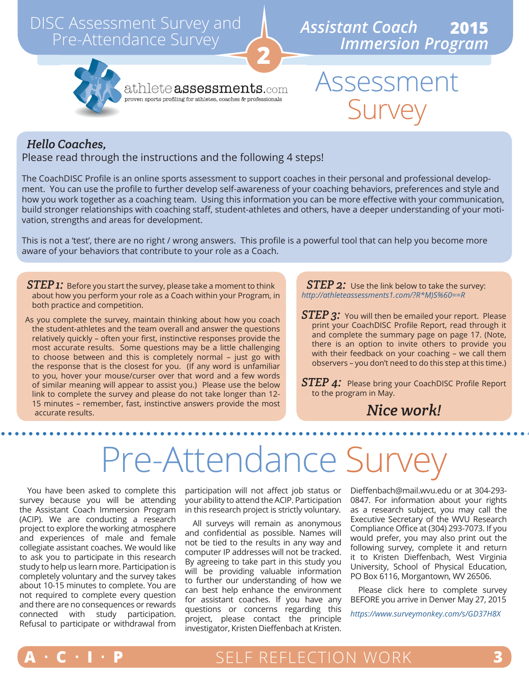## DISC Assessment Survey and Pre-Attendance Survey





athlete  ${\tt assessments.}$ com proven sports profiling for athletes, coaches  $\&$  professionals

## Assessment Survey

#### *Hello Coaches,*

#### Please read through the instructions and the following 4 steps!

The CoachDISC Profile is an online sports assessment to support coaches in their personal and professional development. You can use the profile to further develop self-awareness of your coaching behaviors, preferences and style and how you work together as a coaching team. Using this information you can be more effective with your communication, build stronger relationships with coaching staff, student-athletes and others, have a deeper understanding of your motivation, strengths and areas for development.

**2**

This is not a 'test', there are no right / wrong answers. This profile is a powerful tool that can help you become more aware of your behaviors that contribute to your role as a Coach.

- *STEP 1:* Before you start the survey, please take a moment to think about how you perform your role as a Coach within your Program, in both practice and competition.
- As you complete the survey, maintain thinking about how you coach the student-athletes and the team overall and answer the questions relatively quickly – often your first, instinctive responses provide the most accurate results. Some questions may be a little challenging to choose between and this is completely normal – just go with the response that is the closest for you. (If any word is unfamiliar to you, hover your mouse/curser over that word and a few words of similar meaning will appear to assist you.) Please use the below link to complete the survey and please do not take longer than 12- 15 minutes – remember, fast, instinctive answers provide the most accurate results.

*STEP 2:* Use the link below to take the survey: *http://athleteassessments1.com/?R\*M)S%60==R*

*STEP 3:* You will then be emailed your report. Please print your CoachDISC Profile Report, read through it and complete the summary page on page 17. (Note, there is an option to invite others to provide you with their feedback on your coaching – we call them observers – you don't need to do this step at this time.)

**STEP 4:** Please bring your CoachDISC Profile Report to the program in May.

### *Nice work!*

# Pre-Attendance Survey

You have been asked to complete this survey because you will be attending the Assistant Coach Immersion Program (ACIP). We are conducting a research project to explore the working atmosphere and experiences of male and female collegiate assistant coaches. We would like to ask you to participate in this research study to help us learn more. Participation is completely voluntary and the survey takes about 10-15 minutes to complete. You are not required to complete every question and there are no consequences or rewards connected with study participation. Refusal to participate or withdrawal from

participation will not affect job status or your ability to attend the ACIP. Participation in this research project is strictly voluntary.

All surveys will remain as anonymous and confidential as possible. Names will not be tied to the results in any way and computer IP addresses will not be tracked. By agreeing to take part in this study you will be providing valuable information to further our understanding of how we can best help enhance the environment for assistant coaches. If you have any questions or concerns regarding this project, please contact the principle investigator, Kristen Dieffenbach at Kristen.

Dieffenbach@mail.wvu.edu or at 304-293- 0847. For information about your rights as a research subject, you may call the Executive Secretary of the WVU Research Compliance Office at (304) 293-7073. If you would prefer, you may also print out the following survey, complete it and return it to Kristen Dieffenbach, West Virginia University, School of Physical Education, PO Box 6116, Morgantown, WV 26506.

Please click here to complete survey BEFORE you arrive in Denver May 27, 2015

*https://www.surveymonkey.com/s/GD37H8X*

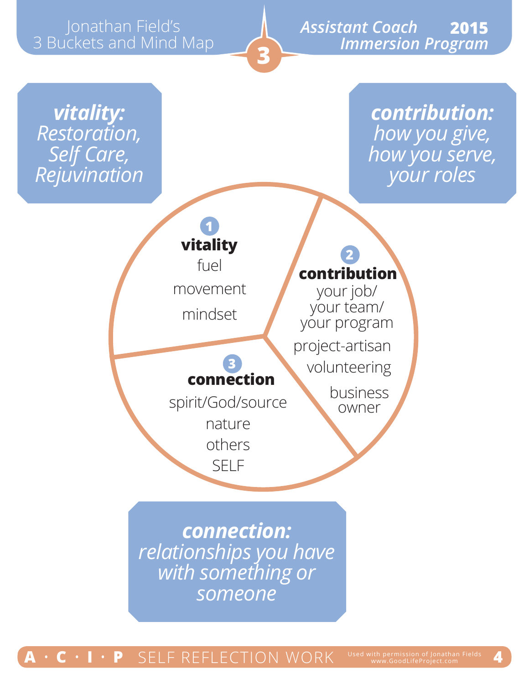## athan Field's 3 Buckets and Mind Map

### *Assistant Coach* Jonathan Field's **2015**  *Immersion Program*

*vitality: Restoration, Self Care, Rejuvination*

*contribution: how you give, how you serve, your roles*



mindset

### **3 connection**

**3**

spirit/God/source

others nature

SELF

**contribution**

**2**

your job/ your team/ your program project-artisan volunteering

> business owner

*connection: relationships you have with something or someone*

### **• C •**  $\blacksquare \bullet \blacksquare$  **P** SELF REFLECTION WORK **Used with permission of Jonathan Fields** 4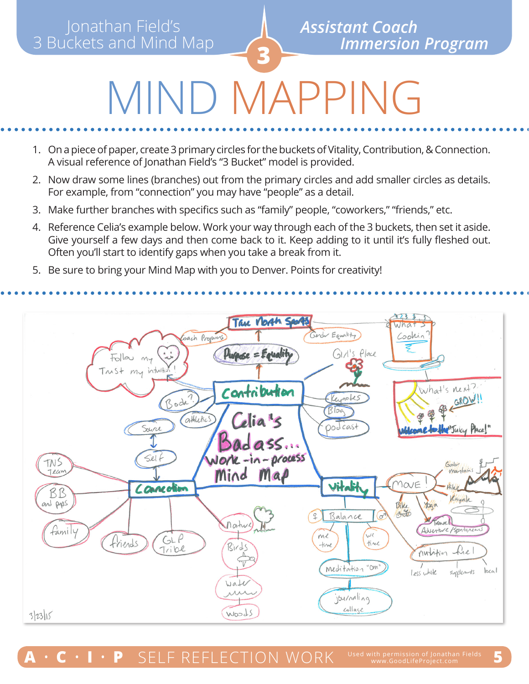# **DIMAP**

- 1. On a piece of paper, create 3 primary circles for the buckets of Vitality, Contribution, & Connection. A visual reference of Jonathan Field's "3 Bucket" model is provided.
- 2. Now draw some lines (branches) out from the primary circles and add smaller circles as details. For example, from "connection" you may have "people" as a detail.
- 3. Make further branches with specifics such as "family" people, "coworkers," "friends," etc.
- 4. Reference Celia's example below. Work your way through each of the 3 buckets, then set it aside. Give yourself a few days and then come back to it. Keep adding to it until it's fully fleshed out. Often you'll start to identify gaps when you take a break from it.
- 5. Be sure to bring your Mind Map with you to Denver. Points for creativity!

#### True North Sports Gender Equality Cach Programs Cookin GLA's Place Purpose = Equality  $F_0$ lou  $m_{7}$ Trust my intuiti What's next? Contribution EROW !! Keynotes Bodi  $B$ log athletics Celia<sup>1</sup>s nod cast Source Juicy Place!  $ad$ ass... Nork-in-process Self TNS Gabh martonis Team Mind Map Vitalit MOVE Connection BB and pyps Bike ybaa  $350$ Balance  $\overline{P}$ France Mature family (Adverture/Sportance We  $GLP$  $mc$ friends time  $+$ ine  $Birds$ Tribe nutition hel Δ  $\varsigma_{\overline{V}}$ meditation "Om"  $|_{0.60}|$ Less white supplements  $UAL$ **AAA** journaling collage Woods 3/23/15

**SELF REFLECTION WORK**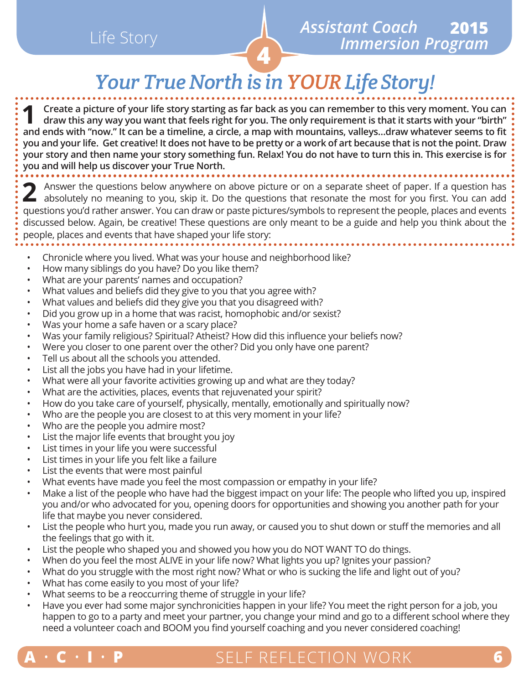## **<sup>4</sup>** Life Story

## *Your True North is in YOUR Life Story!*

**1 Create a picture of your life story starting as far back as you can remember to this very moment. You can draw this any way you want that feels right for you. The only requirement is that it starts with your "birth" and ends with "now." It can be a timeline, a circle, a map with mountains, valleys…draw whatever seems to fit you and your life. Get creative! It does not have to be pretty or a work of art because that is not the point. Draw your story and then name your story something fun. Relax! You do not have to turn this in. This exercise is for you and will help us discover your True North.**

**2** Answer the questions below anywhere on above picture or on a separate sheet of paper. If a question has absolutely no meaning to you, skip it. Do the questions that resonate the most for you first. You can add questions you'd rather answer. You can draw or paste pictures/symbols to represent the people, places and events discussed below. Again, be creative! These questions are only meant to be a guide and help you think about the people, places and events that have shaped your life story:

- Chronicle where you lived. What was your house and neighborhood like?
- How many siblings do you have? Do you like them?
- What are your parents' names and occupation?
- What values and beliefs did they give to you that you agree with?
- What values and beliefs did they give you that you disagreed with?
- Did you grow up in a home that was racist, homophobic and/or sexist?
- Was your home a safe haven or a scary place?
- Was your family religious? Spiritual? Atheist? How did this influence your beliefs now?
- Were you closer to one parent over the other? Did you only have one parent?
- Tell us about all the schools you attended.
- List all the jobs you have had in your lifetime.
- What were all your favorite activities growing up and what are they today?
- What are the activities, places, events that rejuvenated your spirit?
- How do you take care of yourself, physically, mentally, emotionally and spiritually now?
- Who are the people you are closest to at this very moment in your life?
- Who are the people you admire most?
- List the major life events that brought you joy
- List times in your life you were successful
- List times in your life you felt like a failure
- List the events that were most painful
- What events have made you feel the most compassion or empathy in your life?
- Make a list of the people who have had the biggest impact on your life: The people who lifted you up, inspired you and/or who advocated for you, opening doors for opportunities and showing you another path for your life that maybe you never considered.
- List the people who hurt you, made you run away, or caused you to shut down or stuff the memories and all the feelings that go with it.
- List the people who shaped you and showed you how you do NOT WANT TO do things.
- When do you feel the most ALIVE in your life now? What lights you up? Ignites your passion?
- What do you struggle with the most right now? What or who is sucking the life and light out of you?
- What has come easily to you most of your life?
- What seems to be a reoccurring theme of struggle in your life?
- Have you ever had some major synchronicities happen in your life? You meet the right person for a job, you happen to go to a party and meet your partner, you change your mind and go to a different school where they need a volunteer coach and BOOM you find yourself coaching and you never considered coaching!



### SELF REFLECTION WORK Used with permission of Jonathan Fields **A** • **C** • **I** • **P** SELF REFLECTION WORK www.GoodLifeProject.com **6**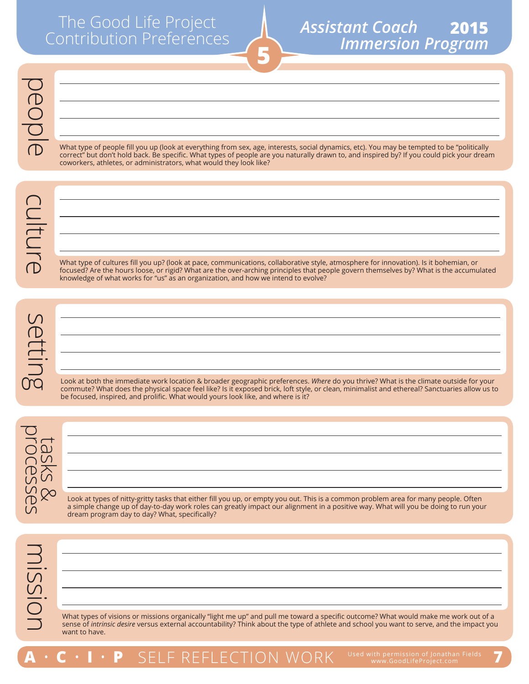#### **5***Assistant Coach Immersion Program* **2015**

What type of people fill you up (look at everything from sex, age, interests, social dynamics, etc). You may be tempted to be "politically correct" but don't hold back. Be specific. What types of people are you naturally drawn to, and inspired by? If you could pick your dream coworkers, athletes, or administrators, what would they look like?

**4**

What type of cultures fill you up? (look at pace, communications, collaborative style, atmosphere for innovation). Is it bohemian, or focused? Are the hours loose, or rigid? What are the over-arching principles that people govern themselves by? What is the accumulated knowledge of what works for "us" as an organization, and how we intend to evolve?

Look at both the immediate work location & broader geographic preferences. *Where* do you thrive? What is the climate outside for your commute? What does the physical space feel like? Is it exposed brick, loft style, or clean, minimalist and ethereal? Sanctuaries allow us to be focused, inspired, and prolific. What would yours look like, and where is it?



Look at types of nitty-gritty tasks that either fill you up, or empty you out. This is a common problem area for many people. Often a simple change up of day-to-day work roles can greatly impact our alignment in a positive way. What will you be doing to run your dream program day to day? What, specifically?

What types of visions or missions organically "light me up" and pull me toward a specific outcome? What would make me work out of a sense of *intrinsic desire* versus external accountability? Think about the type of athlete and school you want to serve, and the impact you want to have.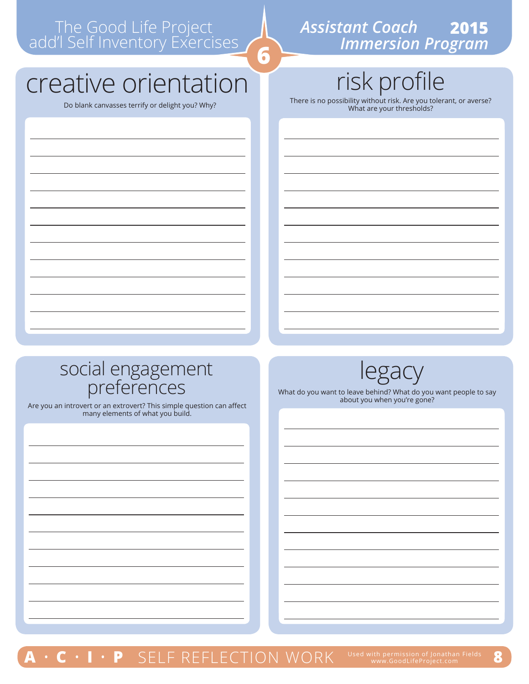#### *Assistant Coach Immersion Program* **2015**

# creative orientation

risk profile

Do blank canvasses terrify or delight you? Why? There is no possibility without risk. Are you tolerant, or averse? What are your thresholds?

# social engagement<br>preferences what do you want to leave behind? What do

Are you an introvert or an extrovert? This simple question can affect many elements of what you build.



What do you want to leave behind? What do you want people to say about you when you're gone?

**P** SELF REFLECTION WORK Used with permission of Jonathan Fields 8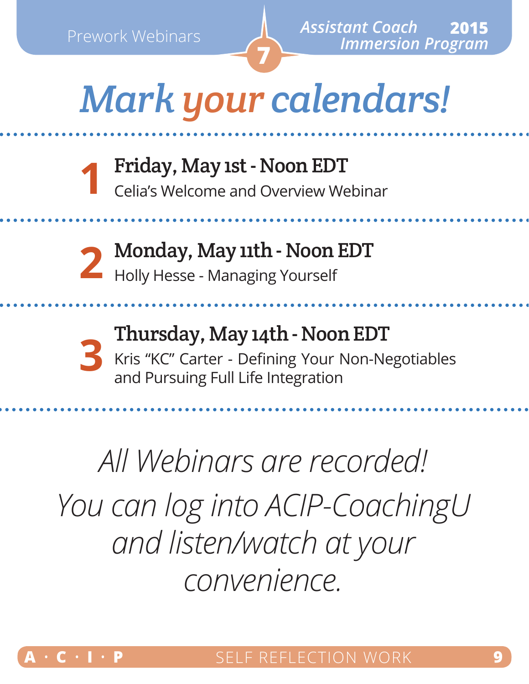# *Mark your calendars!*

**7**

Friday, May 1st - Noon EDT Celia's Welcome and Overview Webinar **1**

**2**

Monday, May 11th - Noon EDT Holly Hesse - Managing Yourself

**3**

Thursday, May 14th - Noon EDT Kris "KC" Carter - Defining Your Non-Negotiables and Pursuing Full Life Integration

*All Webinars are recorded! You can log into ACIP-CoachingU and listen/watch at your convenience.*